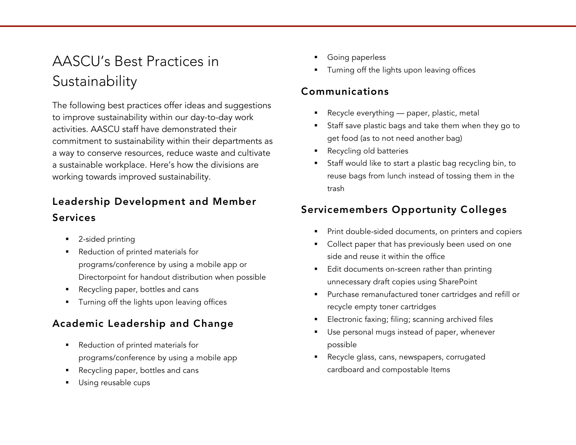# AASCU's Best Practices in Sustainability

The following best practices offer ideas and suggestions to improve sustainability within our day-to-day work activities. AASCU staff have demonstrated their commitment to sustainability within their departments as a way to conserve resources, reduce waste and cultivate a sustainable workplace. Here's how the divisions are working towards improved sustainability.

# Leadership Development and Member Services

- § 2-sided printing
- Reduction of printed materials for programs/conference by using a mobile app or Directorpoint for handout distribution when possible
- Recycling paper, bottles and cans
- **•** Turning off the lights upon leaving offices

## Academic Leadership and Change

- Reduction of printed materials for programs/conference by using a mobile app
- Recycling paper, bottles and cans
- **•** Using reusable cups
- § Going paperless
- Turning off the lights upon leaving offices

### Communications

- Recycle everything paper, plastic, metal
- § Staff save plastic bags and take them when they go to get food (as to not need another bag)
- § Recycling old batteries
- § Staff would like to start a plastic bag recycling bin, to reuse bags from lunch instead of tossing them in the trash

# Servicemembers Opportunity Colleges

- Print double-sided documents, on printers and copiers
- Collect paper that has previously been used on one side and reuse it within the office
- Edit documents on-screen rather than printing unnecessary draft copies using SharePoint
- § Purchase remanufactured toner cartridges and refill or recycle empty toner cartridges
- Electronic faxing; filing; scanning archived files
- Use personal mugs instead of paper, whenever possible
- Recycle glass, cans, newspapers, corrugated cardboard and compostable Items